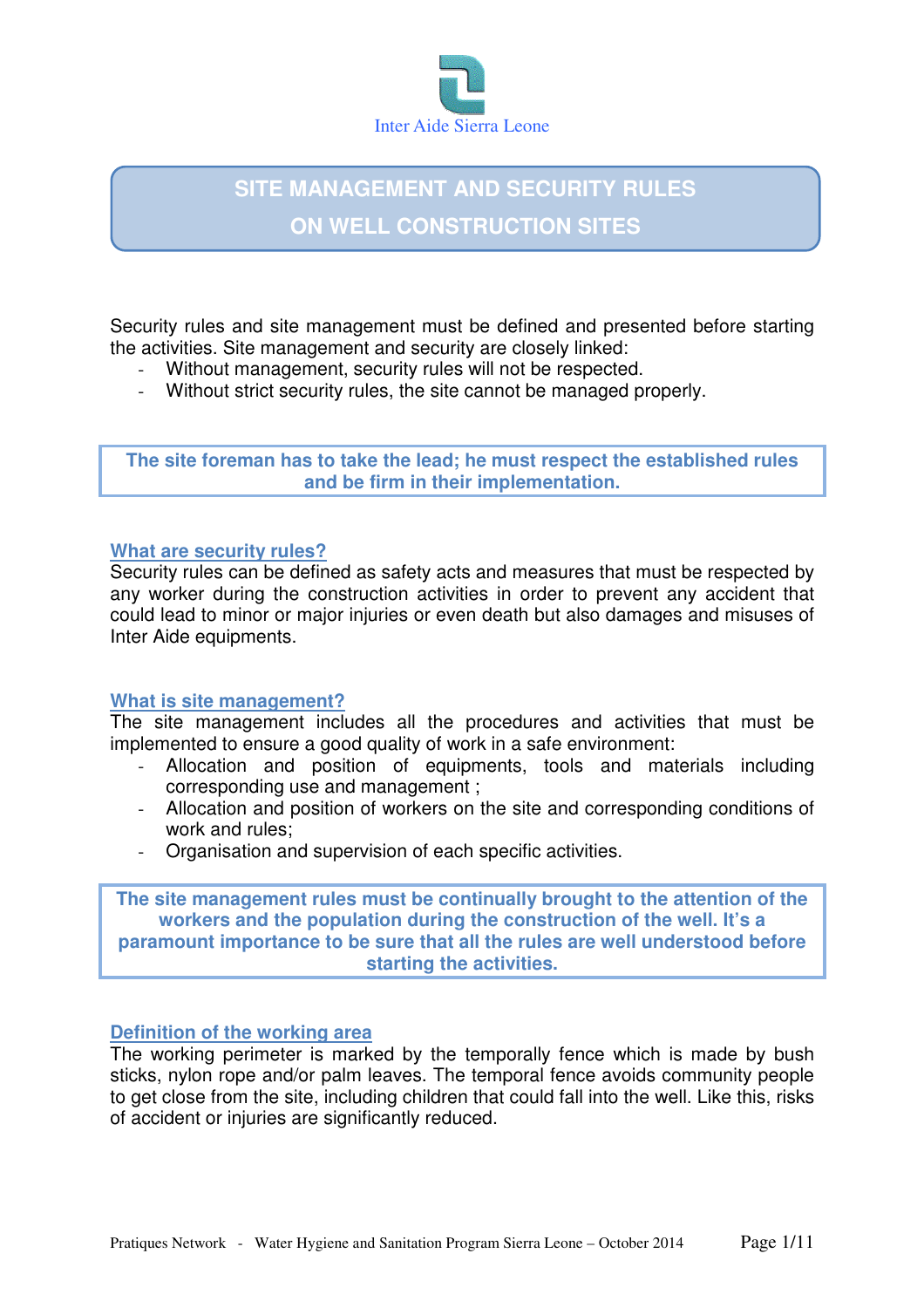

# **SITE MANAGEMENT AND SECURITY RULES ON WELL CONSTRUCTION SITES**

Security rules and site management must be defined and presented before starting the activities. Site management and security are closely linked:

- Without management, security rules will not be respected.
- Without strict security rules, the site cannot be managed properly.

**The site foreman has to take the lead; he must respect the established rules and be firm in their implementation.** 

#### **What are security rules?**

Security rules can be defined as safety acts and measures that must be respected by any worker during the construction activities in order to prevent any accident that could lead to minor or major injuries or even death but also damages and misuses of Inter Aide equipments.

#### **What is site management?**

The site management includes all the procedures and activities that must be implemented to ensure a good quality of work in a safe environment:

- Allocation and position of equipments, tools and materials including corresponding use and management ;
- Allocation and position of workers on the site and corresponding conditions of work and rules;
- Organisation and supervision of each specific activities.

**The site management rules must be continually brought to the attention of the workers and the population during the construction of the well. It's a paramount importance to be sure that all the rules are well understood before starting the activities.** 

#### **Definition of the working area**

The working perimeter is marked by the temporally fence which is made by bush sticks, nylon rope and/or palm leaves. The temporal fence avoids community people to get close from the site, including children that could fall into the well. Like this, risks of accident or injuries are significantly reduced.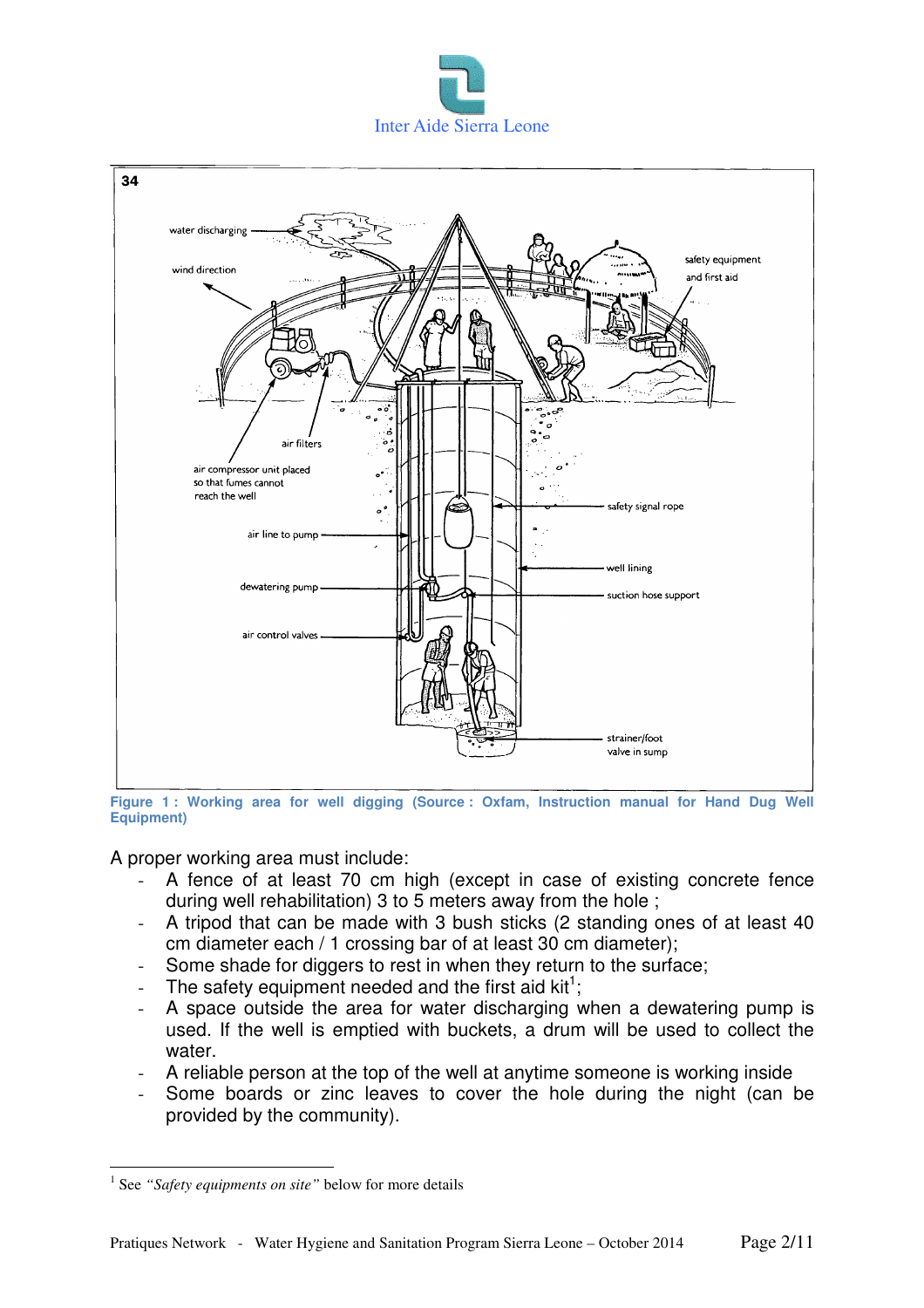



**Figure 1 : Working area for well digging (Source : Oxfam, Instruction manual for Hand Dug Well Equipment)** 

A proper working area must include:

- A fence of at least 70 cm high (except in case of existing concrete fence during well rehabilitation) 3 to 5 meters away from the hole ;
- A tripod that can be made with 3 bush sticks (2 standing ones of at least 40 cm diameter each / 1 crossing bar of at least 30 cm diameter);
- Some shade for diggers to rest in when they return to the surface;
- The safety equipment needed and the first aid  $kit^1$ ;
- A space outside the area for water discharging when a dewatering pump is used. If the well is emptied with buckets, a drum will be used to collect the water.
- A reliable person at the top of the well at anytime someone is working inside
- Some boards or zinc leaves to cover the hole during the night (can be provided by the community).

 $\overline{a}$ 

<sup>&</sup>lt;sup>1</sup> See "Safety equipments on site" below for more details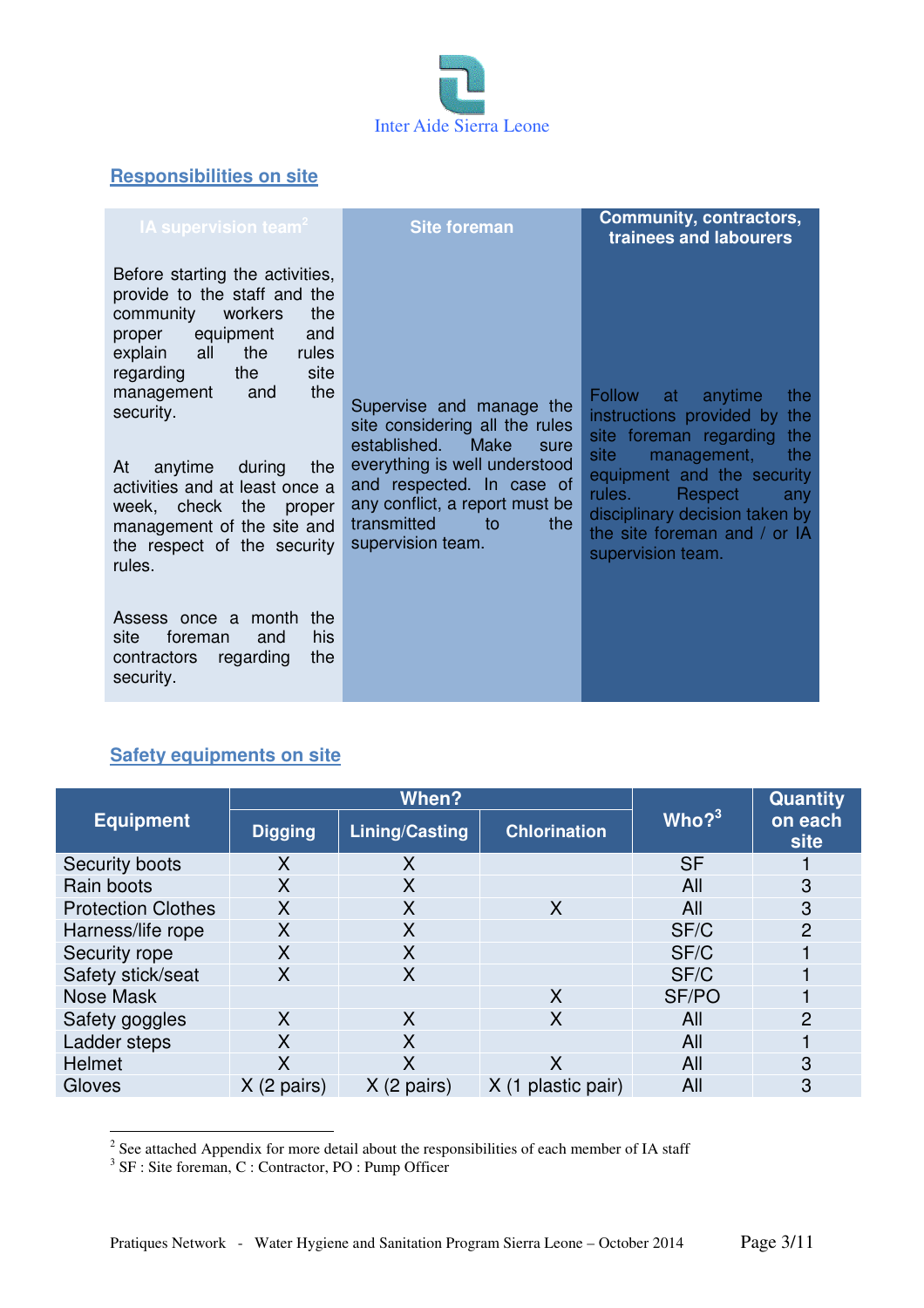

# **Responsibilities on site**

| <b>IA supervision team<sup>2</sup></b>                                                                                                                                                                                                                                                                                                                                                                                                                                                                                     | <b>Site foreman</b>                                                                                                                                                                                                                      | <b>Community, contractors,</b><br>trainees and labourers                                                                                                                                                                                                                           |
|----------------------------------------------------------------------------------------------------------------------------------------------------------------------------------------------------------------------------------------------------------------------------------------------------------------------------------------------------------------------------------------------------------------------------------------------------------------------------------------------------------------------------|------------------------------------------------------------------------------------------------------------------------------------------------------------------------------------------------------------------------------------------|------------------------------------------------------------------------------------------------------------------------------------------------------------------------------------------------------------------------------------------------------------------------------------|
| Before starting the activities,<br>provide to the staff and the<br>community<br>workers<br>the<br>equipment<br>and<br>proper<br>explain<br>all<br>the<br>rules<br>site<br>regarding<br>the<br>the<br>management<br>and<br>security.<br>At<br>anytime<br>during<br>the<br>activities and at least once a<br>week, check the<br>proper<br>management of the site and<br>the respect of the security<br>rules.<br>Assess once a month<br>the<br>his<br>site<br>foreman<br>and<br>regarding<br>the<br>contractors<br>security. | Supervise and manage the<br>site considering all the rules<br>established. Make<br>sure<br>everything is well understood<br>and respected. In case of<br>any conflict, a report must be<br>transmitted<br>the<br>to<br>supervision team. | <b>Follow</b><br>anytime<br>the<br>at<br>instructions provided by the<br>site foreman regarding the<br>site<br>management,<br>the<br>equipment and the security<br>rules.<br>Respect<br>any<br>disciplinary decision taken by<br>the site foreman and / or IA<br>supervision team. |
|                                                                                                                                                                                                                                                                                                                                                                                                                                                                                                                            |                                                                                                                                                                                                                                          |                                                                                                                                                                                                                                                                                    |

# **Safety equipments on site**

|                           | When?                |                       |                     |                      | <b>Quantity</b> |
|---------------------------|----------------------|-----------------------|---------------------|----------------------|-----------------|
| <b>Equipment</b>          | <b>Digging</b>       | <b>Lining/Casting</b> | <b>Chlorination</b> | $ \mathsf{Who} ^{3}$ | on each<br>site |
| Security boots            | X                    | X                     |                     | <b>SF</b>            |                 |
| Rain boots                | X                    | X                     |                     | All                  | 3               |
| <b>Protection Clothes</b> | X                    | Χ                     | X                   | All                  | 3               |
| Harness/life rope         | X                    | X                     |                     | SF/C                 | $\overline{2}$  |
| Security rope             | X                    | X                     |                     | SF/C                 |                 |
| Safety stick/seat         | X                    | X                     |                     | SF/C                 |                 |
| Nose Mask                 |                      |                       | X                   | SF/PO                |                 |
| Safety goggles            | X                    | X                     | X                   | All                  | 2               |
| Ladder steps              | X                    | X                     |                     | All                  |                 |
| <b>Helmet</b>             | X                    | Χ                     | X                   | All                  | 3               |
| Gloves                    | $X(2 \text{ pairs})$ | $X(2 \text{ pairs})$  | plastic pair)       | All                  | 3               |

<sup>&</sup>lt;sup>2</sup> See attached Appendix for more detail about the responsibilities of each member of IA staff <sup>3</sup> SF : Site foreman, C : Contractor, PO : Pump Officer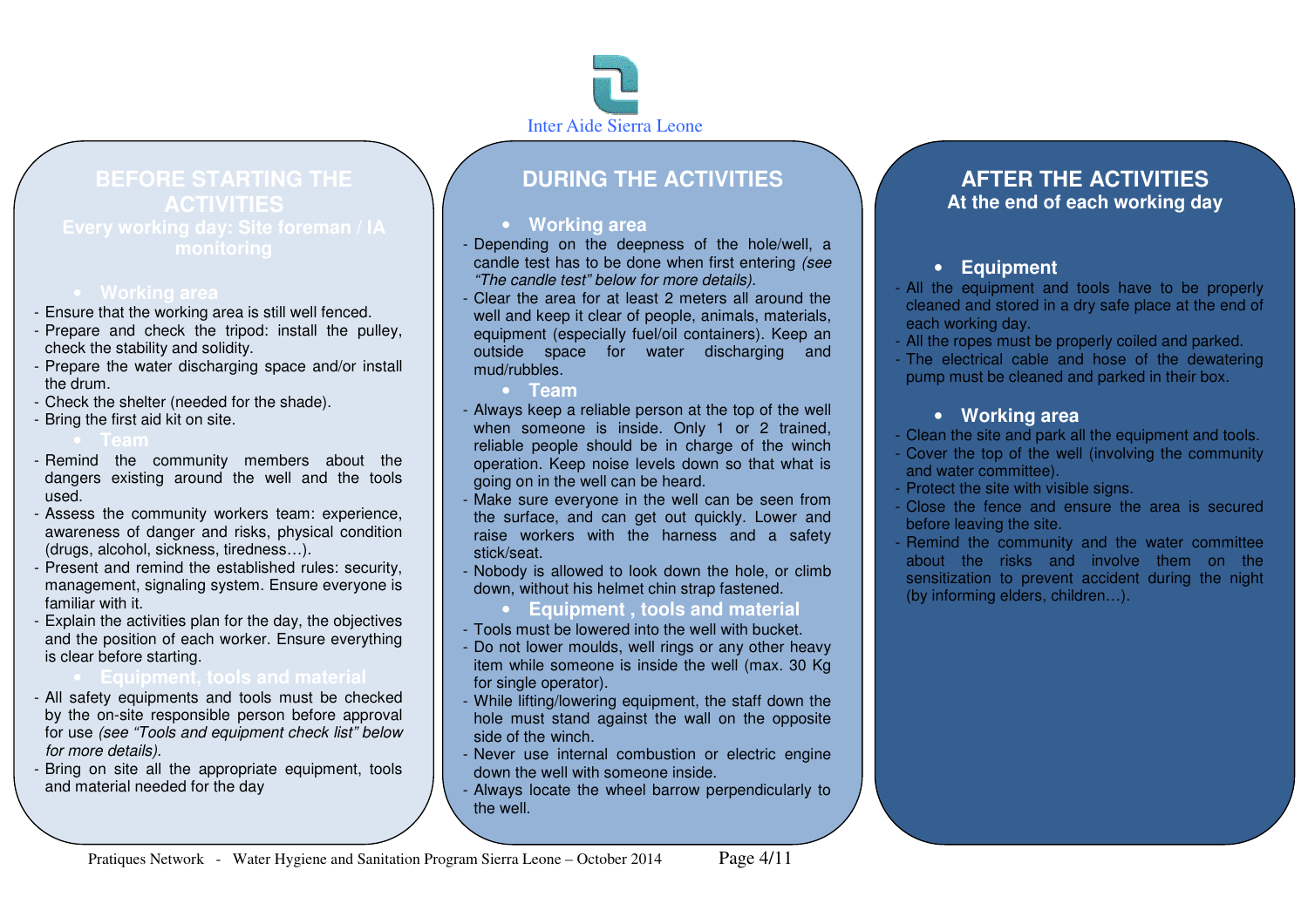

# **BEFORE STARTING THE**

# • **Working area**

- Ensure that the working area is still well fenced.
- Prepare and check the tripod: install the pulley,check the stability and solidity.
- Prepare the water discharging space and/or install the drum.
- Check the shelter (needed for the shade).
- Bring the first aid kit on site.

# • **Team**

- Remind the community members about the dangers existing around the well and the tools used.
- Assess the community workers team: experience, awareness of danger and risks, physical condition (drugs, alcohol, sickness, tiredness…).
- Present and remind the established rules: security, management, signaling system. Ensure everyone is familiar with it.
- Explain the activities plan for the day, the objectives and the position of each worker. Ensure everything is clear before starting.

- All safety equipments and tools must be checked by the on-site responsible person before approval for use (see "Tools and equipment check list" below for more details).
- Bring on site all the appropriate equipment, tools and material needed for the day

# **DURING THE ACTIVITIES**

# • **Working area**

- Depending on the deepness of the hole/well, a candle test has to be done when first entering (see "The candle test" below for more details).
- Clear the area for at least 2 meters all around the well and keep it clear of people, animals, materials, equipment (especially fuel/oil containers). Keep an outside space for water discharging and mud/rubbles.
	- **Team**
- Always keep a reliable person at the top of the well when someone is inside. Only 1 or 2 trained, reliable people should be in charge of the winch operation. Keep noise levels down so that what is going on in the well can be heard.
- Make sure everyone in the well can be seen from the surface, and can get out quickly. Lower and raise workers with the harness and a safety stick/seat.
- Nobody is allowed to look down the hole, or climbdown, without his helmet chin strap fastened.
	- **Equipment , tools and material**
- Tools must be lowered into the well with bucket.
- Do not lower moulds, well rings or any other heavy item while someone is inside the well (max. 30 Kg for single operator).
- While lifting/lowering equipment, the staff down the hole must stand against the wall on the oppositeside of the winch.<br>..
- Never use internal combustion or electric engine down the well with someone inside.
- Always locate the wheel barrow perpendicularly tothe well.

# **AFTER THE ACTIVITIES At the end of each working day**

# • **Equipment**

- All the equipment and tools have to be properly cleaned and stored in a dry safe place at the end of each working day.
- All the ropes must be properly coiled and parked.
- The electrical cable and hose of the dewatering pump must be cleaned and parked in their box.

# • **Working area**

- Clean the site and park all the equipment and tools.
- Cover the top of the well (involving the community and water committee).
- Protect the site with visible signs.
- Close the fence and ensure the area is secured before leaving the site.
- Remind the community and the water committee about the risks and involve them on the sensitization to prevent accident during the night (by informing elders, children…).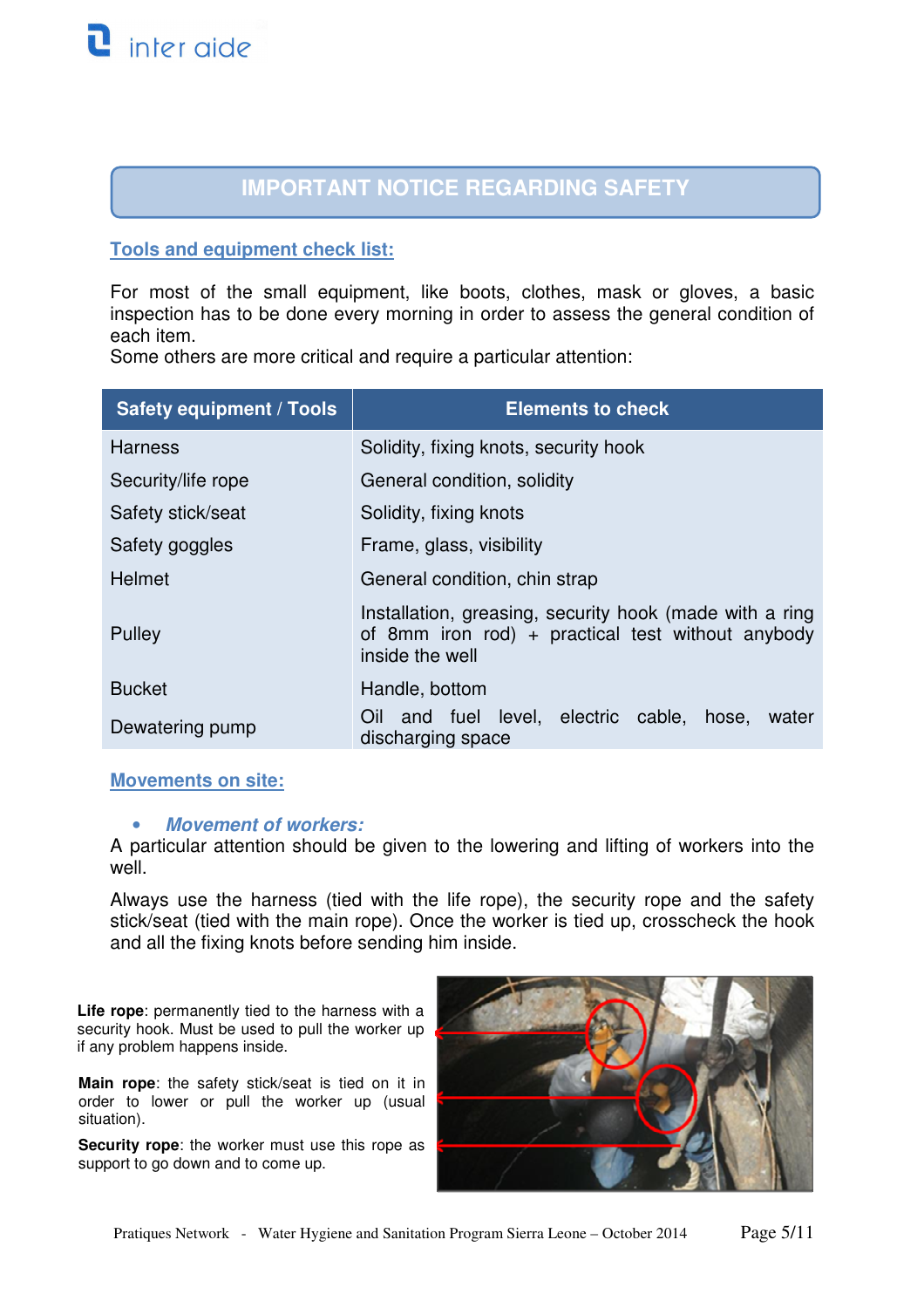# **IMPORTANT NOTICE REGARDING SAFETY**

#### **Tools and equipment check list:**

For most of the small equipment, like boots, clothes, mask or gloves, a basic inspection has to be done every morning in order to assess the general condition of each item.

Some others are more critical and require a particular attention:

| <b>Safety equipment / Tools</b> | <b>Elements to check</b>                                                                                                        |
|---------------------------------|---------------------------------------------------------------------------------------------------------------------------------|
| <b>Harness</b>                  | Solidity, fixing knots, security hook                                                                                           |
| Security/life rope              | General condition, solidity                                                                                                     |
| Safety stick/seat               | Solidity, fixing knots                                                                                                          |
| Safety goggles                  | Frame, glass, visibility                                                                                                        |
| <b>Helmet</b>                   | General condition, chin strap                                                                                                   |
| Pulley                          | Installation, greasing, security hook (made with a ring<br>of 8mm iron rod) + practical test without anybody<br>inside the well |
| <b>Bucket</b>                   | Handle, bottom                                                                                                                  |
| Dewatering pump                 | and fuel level, electric cable, hose, water<br>Oil<br>discharging space                                                         |

#### **Movements on site:**

#### • **Movement of workers:**

A particular attention should be given to the lowering and lifting of workers into the well.

Always use the harness (tied with the life rope), the security rope and the safety stick/seat (tied with the main rope). Once the worker is tied up, crosscheck the hook and all the fixing knots before sending him inside.

**Life rope**: permanently tied to the harness with a security hook. Must be used to pull the worker up if any problem happens inside.

**Main rope**: the safety stick/seat is tied on it in order to lower or pull the worker up (usual situation).

**Security rope**: the worker must use this rope as support to go down and to come up.

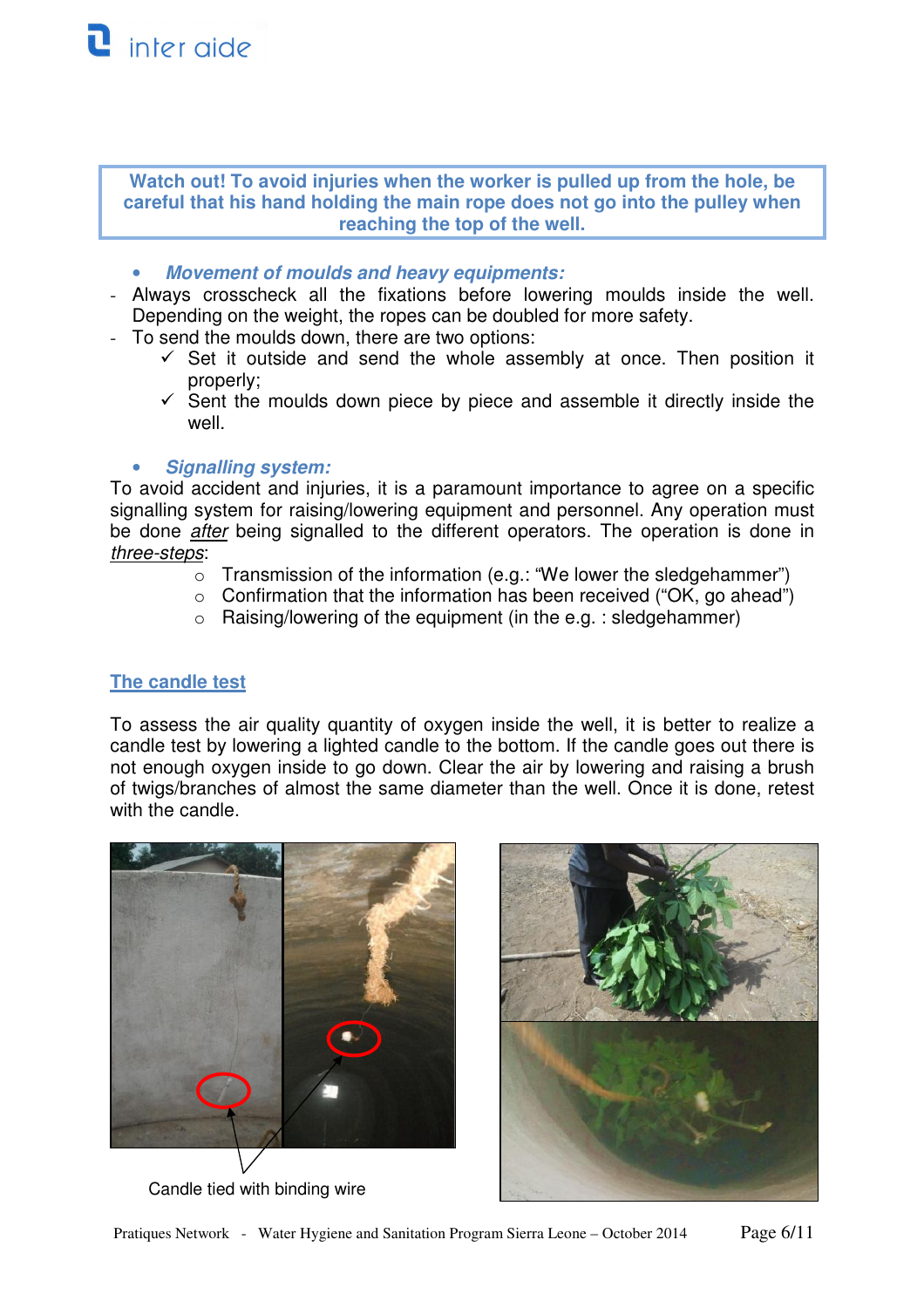**Watch out! To avoid injuries when the worker is pulled up from the hole, be careful that his hand holding the main rope does not go into the pulley when reaching the top of the well.** 

- **Movement of moulds and heavy equipments:**
- Always crosscheck all the fixations before lowering moulds inside the well. Depending on the weight, the ropes can be doubled for more safety.
- To send the moulds down, there are two options:
	- $\checkmark$  Set it outside and send the whole assembly at once. Then position it properly;
	- $\checkmark$  Sent the moulds down piece by piece and assemble it directly inside the well.

### • **Signalling system:**

To avoid accident and injuries, it is a paramount importance to agree on a specific signalling system for raising/lowering equipment and personnel. Any operation must be done *after* being signalled to the different operators. The operation is done in three-steps:

- o Transmission of the information (e.g.: "We lower the sledgehammer")
- $\circ$  Confirmation that the information has been received ("OK, go ahead")
- $\circ$  Raising/lowering of the equipment (in the e.g. : sledgehammer)

## **The candle test**

To assess the air quality quantity of oxygen inside the well, it is better to realize a candle test by lowering a lighted candle to the bottom. If the candle goes out there is not enough oxygen inside to go down. Clear the air by lowering and raising a brush of twigs/branches of almost the same diameter than the well. Once it is done, retest with the candle.



Candle tied with binding wire

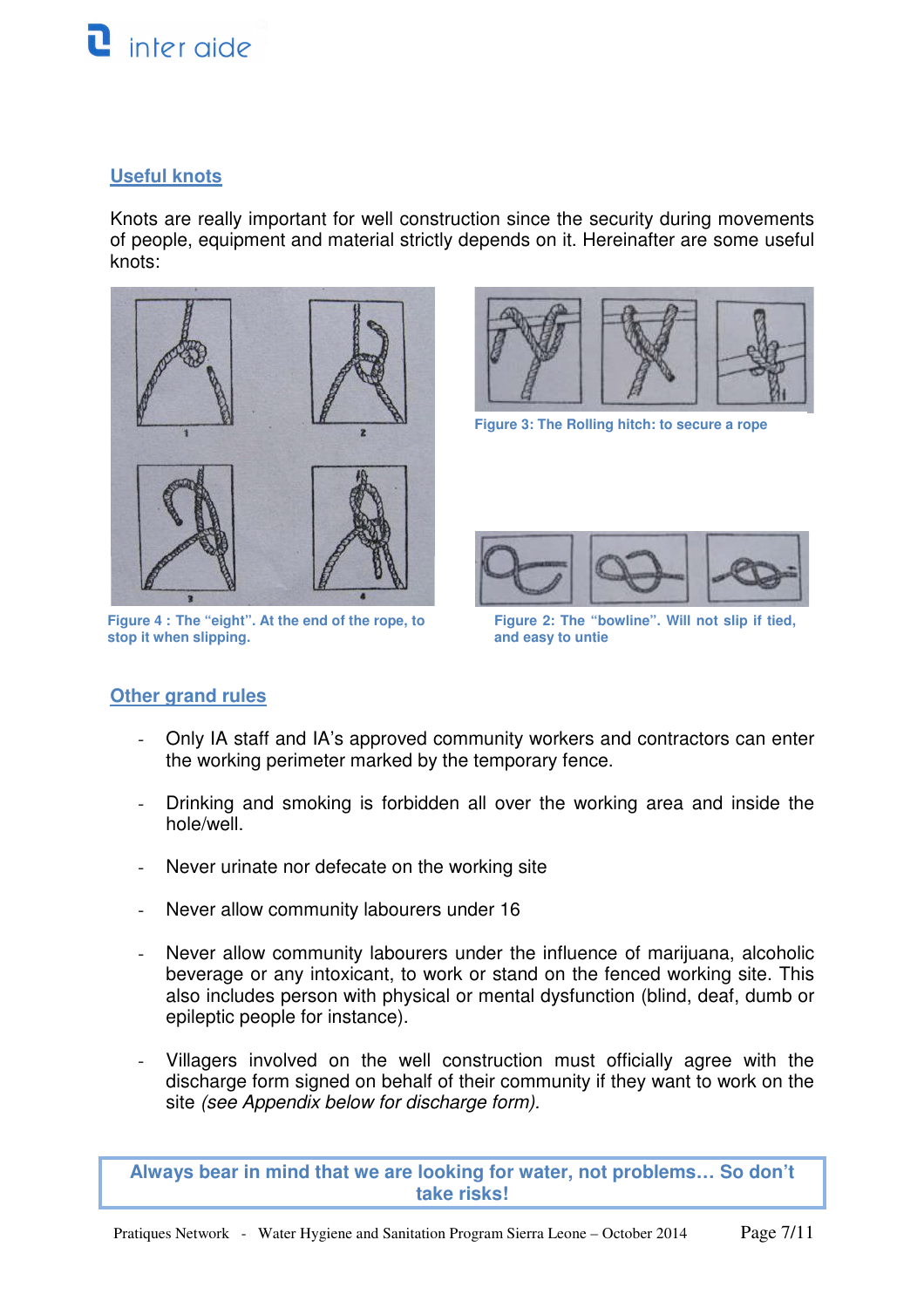

#### **Useful knots**

Knots are really important for well construction since the security during movements of people, equipment and material strictly depends on it. Hereinafter are some useful knots:



**Figure 4 : The "eight". At the end of the rope, to stop it when slipping.** 



**Figure 3: The Rolling hitch: to secure a rope**



**Figure 2: The "bowline". Will not slip if tied, and easy to untie** 

#### **Other grand rules**

- Only IA staff and IA's approved community workers and contractors can enter the working perimeter marked by the temporary fence.
- Drinking and smoking is forbidden all over the working area and inside the hole/well.
- Never urinate nor defecate on the working site
- Never allow community labourers under 16
- Never allow community labourers under the influence of marijuana, alcoholic beverage or any intoxicant, to work or stand on the fenced working site. This also includes person with physical or mental dysfunction (blind, deaf, dumb or epileptic people for instance).
- Villagers involved on the well construction must officially agree with the discharge form signed on behalf of their community if they want to work on the site (see Appendix below for discharge form).

**Always bear in mind that we are looking for water, not problems… So don't take risks!**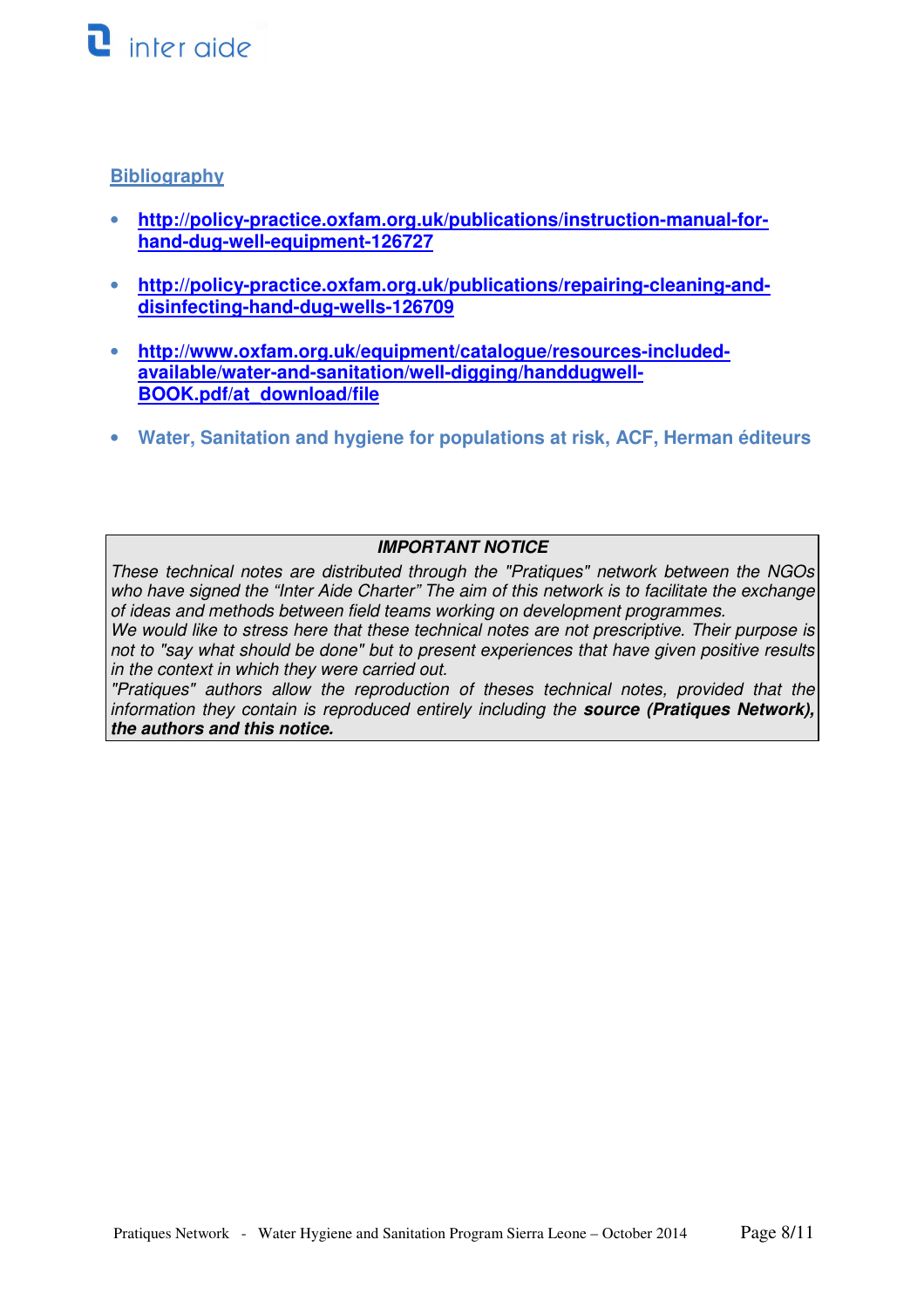

### **Bibliography**

- **http://policy-practice.oxfam.org.uk/publications/instruction-manual-forhand-dug-well-equipment-126727**
- **http://policy-practice.oxfam.org.uk/publications/repairing-cleaning-anddisinfecting-hand-dug-wells-126709**
- **http://www.oxfam.org.uk/equipment/catalogue/resources-includedavailable/water-and-sanitation/well-digging/handdugwell-BOOK.pdf/at\_download/file**
- **Water, Sanitation and hygiene for populations at risk, ACF, Herman éditeurs**

#### **IMPORTANT NOTICE**

These technical notes are distributed through the "Pratiques" network between the NGOs who have signed the "Inter Aide Charter" The aim of this network is to facilitate the exchange of ideas and methods between field teams working on development programmes.

We would like to stress here that these technical notes are not prescriptive. Their purpose is not to "say what should be done" but to present experiences that have given positive results in the context in which they were carried out.

"Pratiques" authors allow the reproduction of theses technical notes, provided that the information they contain is reproduced entirely including the **source (Pratiques Network), the authors and this notice.**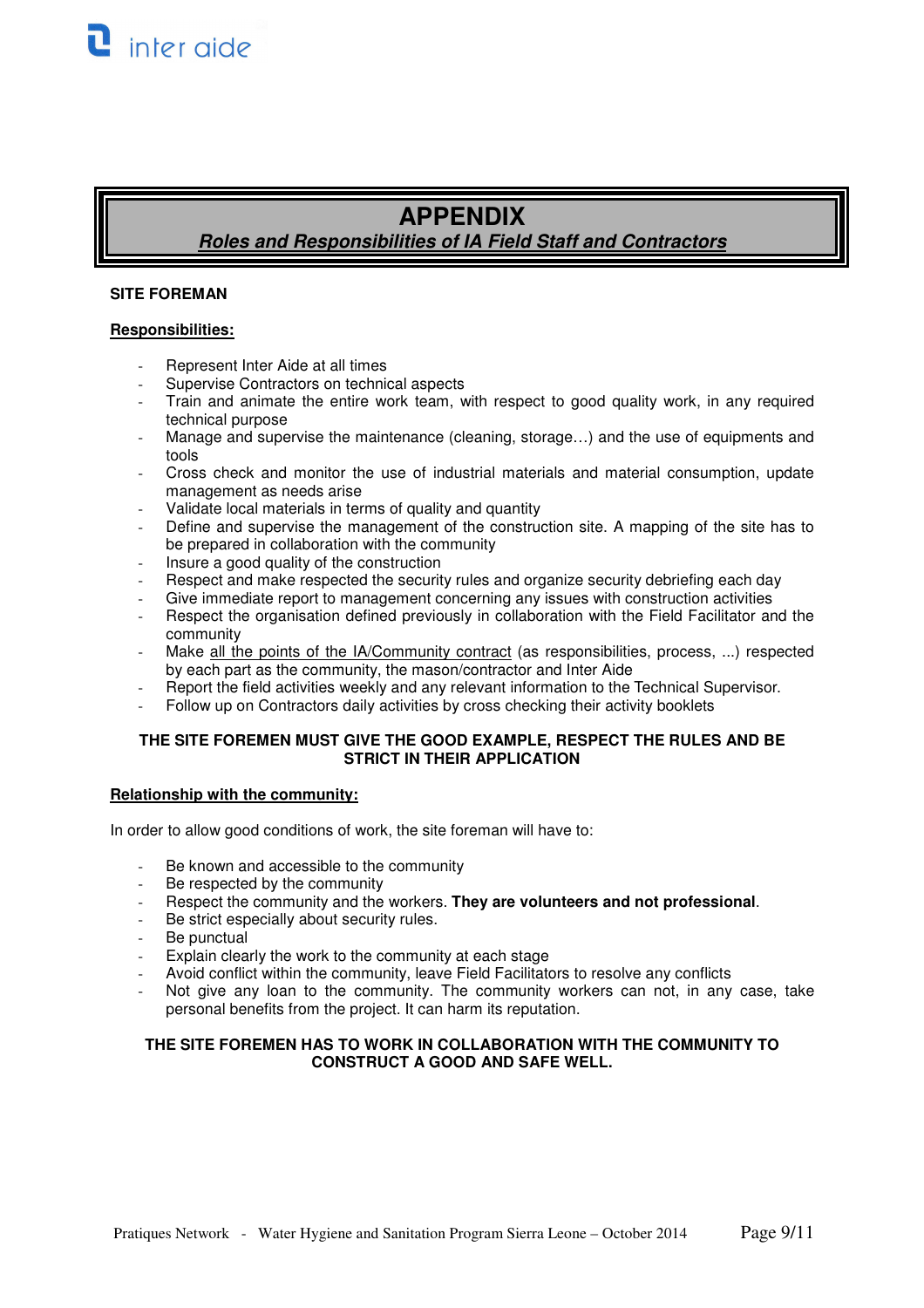# **APPENDIX**

**Roles and Responsibilities of IA Field Staff and Contractors** 

#### **SITE FOREMAN**

#### **Responsibilities:**

- Represent Inter Aide at all times
- Supervise Contractors on technical aspects
- Train and animate the entire work team, with respect to good quality work, in any required technical purpose
- Manage and supervise the maintenance (cleaning, storage...) and the use of equipments and tools
- Cross check and monitor the use of industrial materials and material consumption, update management as needs arise
- Validate local materials in terms of quality and quantity
- Define and supervise the management of the construction site. A mapping of the site has to be prepared in collaboration with the community
- Insure a good quality of the construction
- Respect and make respected the security rules and organize security debriefing each day
- Give immediate report to management concerning any issues with construction activities
- Respect the organisation defined previously in collaboration with the Field Facilitator and the community
- Make all the points of the IA/Community contract (as responsibilities, process, ...) respected by each part as the community, the mason/contractor and Inter Aide
- Report the field activities weekly and any relevant information to the Technical Supervisor.
- Follow up on Contractors daily activities by cross checking their activity booklets

#### **THE SITE FOREMEN MUST GIVE THE GOOD EXAMPLE, RESPECT THE RULES AND BE STRICT IN THEIR APPLICATION**

#### **Relationship with the community:**

In order to allow good conditions of work, the site foreman will have to:

- Be known and accessible to the community
- Be respected by the community
- Respect the community and the workers. **They are volunteers and not professional**.
- Be strict especially about security rules.
- Be punctual
- Explain clearly the work to the community at each stage
- Avoid conflict within the community, leave Field Facilitators to resolve any conflicts
- Not give any loan to the community. The community workers can not, in any case, take personal benefits from the project. It can harm its reputation.

#### **THE SITE FOREMEN HAS TO WORK IN COLLABORATION WITH THE COMMUNITY TO CONSTRUCT A GOOD AND SAFE WELL.**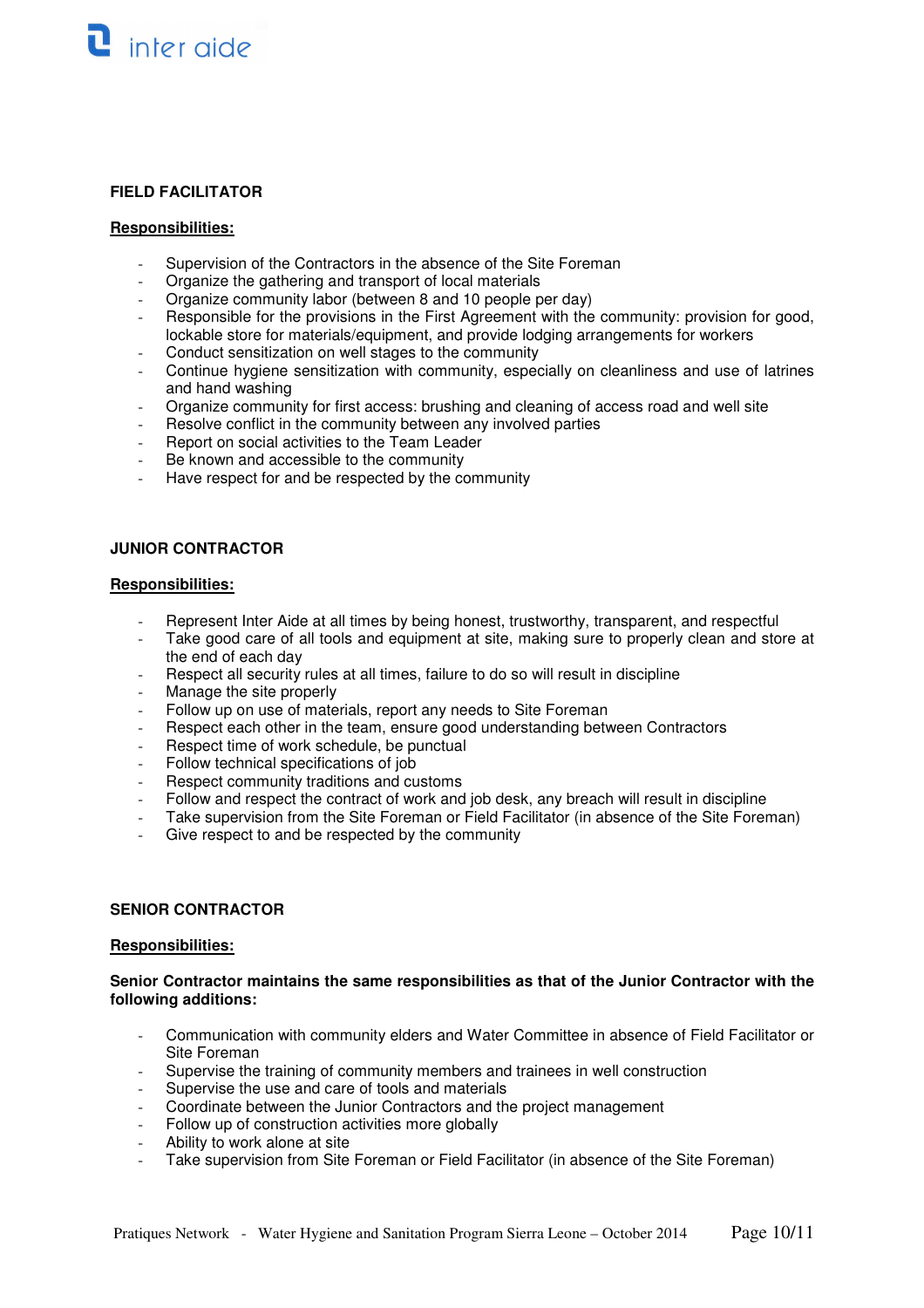#### **FIELD FACILITATOR**

#### **Responsibilities:**

- Supervision of the Contractors in the absence of the Site Foreman
- Organize the gathering and transport of local materials
- Organize community labor (between 8 and 10 people per day)
- Responsible for the provisions in the First Agreement with the community: provision for good, lockable store for materials/equipment, and provide lodging arrangements for workers
- Conduct sensitization on well stages to the community
- Continue hygiene sensitization with community, especially on cleanliness and use of latrines and hand washing
- Organize community for first access: brushing and cleaning of access road and well site
- Resolve conflict in the community between any involved parties
- Report on social activities to the Team Leader
- Be known and accessible to the community
- Have respect for and be respected by the community

#### **JUNIOR CONTRACTOR**

#### **Responsibilities:**

- Represent Inter Aide at all times by being honest, trustworthy, transparent, and respectful
- Take good care of all tools and equipment at site, making sure to properly clean and store at the end of each day
- Respect all security rules at all times, failure to do so will result in discipline
- Manage the site properly
- Follow up on use of materials, report any needs to Site Foreman
- Respect each other in the team, ensure good understanding between Contractors
- Respect time of work schedule, be punctual
- Follow technical specifications of job
- Respect community traditions and customs
- Follow and respect the contract of work and job desk, any breach will result in discipline
- Take supervision from the Site Foreman or Field Facilitator (in absence of the Site Foreman)
- Give respect to and be respected by the community

#### **SENIOR CONTRACTOR**

#### **Responsibilities:**

#### **Senior Contractor maintains the same responsibilities as that of the Junior Contractor with the following additions:**

- Communication with community elders and Water Committee in absence of Field Facilitator or Site Foreman
- Supervise the training of community members and trainees in well construction
- Supervise the use and care of tools and materials
- Coordinate between the Junior Contractors and the project management
- Follow up of construction activities more globally
- Ability to work alone at site
- Take supervision from Site Foreman or Field Facilitator (in absence of the Site Foreman)